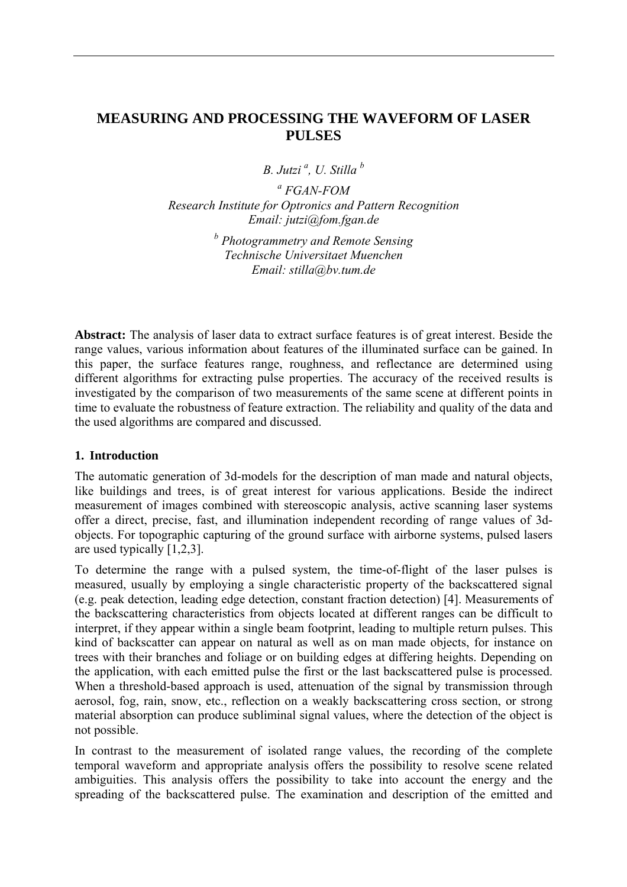# **MEASURING AND PROCESSING THE WAVEFORM OF LASER PULSES**

*B. Jutzi a , U. Stilla b*

*a FGAN-FOM Research Institute for Optronics and Pattern Recognition Email: jutzi@fom.fgan.de* 

> *b Photogrammetry and Remote Sensing Technische Universitaet Muenchen Email: [stilla@bv.tum.de](mailto:stilla@bv.tum.de)*

**Abstract:** The analysis of laser data to extract surface features is of great interest. Beside the range values, various information about features of the illuminated surface can be gained. In this paper, the surface features range, roughness, and reflectance are determined using different algorithms for extracting pulse properties. The accuracy of the received results is investigated by the comparison of two measurements of the same scene at different points in time to evaluate the robustness of feature extraction. The reliability and quality of the data and the used algorithms are compared and discussed.

#### **1. Introduction**

The automatic generation of 3d-models for the description of man made and natural objects, like buildings and trees, is of great interest for various applications. Beside the indirect measurement of images combined with stereoscopic analysis, active scanning laser systems offer a direct, precise, fast, and illumination independent recording of range values of 3dobjects. For topographic capturing of the ground surface with airborne systems, pulsed lasers are used typically [1,2,3].

To determine the range with a pulsed system, the time-of-flight of the laser pulses is measured, usually by employing a single characteristic property of the backscattered signal (e.g. peak detection, leading edge detection, constant fraction detection) [4]. Measurements of the backscattering characteristics from objects located at different ranges can be difficult to interpret, if they appear within a single beam footprint, leading to multiple return pulses. This kind of backscatter can appear on natural as well as on man made objects, for instance on trees with their branches and foliage or on building edges at differing heights. Depending on the application, with each emitted pulse the first or the last backscattered pulse is processed. When a threshold-based approach is used, attenuation of the signal by transmission through aerosol, fog, rain, snow, etc., reflection on a weakly backscattering cross section, or strong material absorption can produce subliminal signal values, where the detection of the object is not possible.

In contrast to the measurement of isolated range values, the recording of the complete temporal waveform and appropriate analysis offers the possibility to resolve scene related ambiguities. This analysis offers the possibility to take into account the energy and the spreading of the backscattered pulse. The examination and description of the emitted and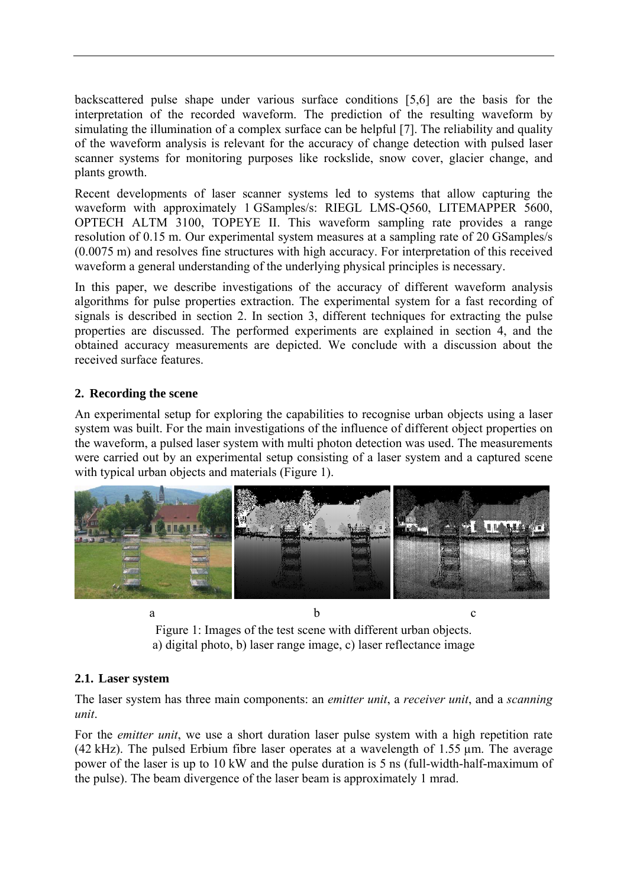backscattered pulse shape under various surface conditions [5,6] are the basis for the interpretation of the recorded waveform. The prediction of the resulting waveform by simulating the illumination of a complex surface can be helpful [7]. The reliability and quality of the waveform analysis is relevant for the accuracy of change detection with pulsed laser scanner systems for monitoring purposes like rockslide, snow cover, glacier change, and plants growth.

Recent developments of laser scanner systems led to systems that allow capturing the waveform with approximately 1 GSamples/s: RIEGL LMS-Q560, LITEMAPPER 5600, OPTECH ALTM 3100, TOPEYE II. This waveform sampling rate provides a range resolution of 0.15 m. Our experimental system measures at a sampling rate of 20 GSamples/s (0.0075 m) and resolves fine structures with high accuracy. For interpretation of this received waveform a general understanding of the underlying physical principles is necessary.

In this paper, we describe investigations of the accuracy of different waveform analysis algorithms for pulse properties extraction. The experimental system for a fast recording of signals is described in section 2. In section 3, different techniques for extracting the pulse properties are discussed. The performed experiments are explained in section 4, and the obtained accuracy measurements are depicted. We conclude with a discussion about the received surface features.

# **2. Recording the scene**

An experimental setup for exploring the capabilities to recognise urban objects using a laser system was built. For the main investigations of the influence of different object properties on the waveform, a pulsed laser system with multi photon detection was used. The measurements were carried out by an experimental setup consisting of a laser system and a captured scene with typical urban objects and materials (Figure 1).



Figure 1: Images of the test scene with different urban objects. a) digital photo, b) laser range image, c) laser reflectance image

# **2.1. Laser system**

The laser system has three main components: an *emitter unit*, a *receiver unit*, and a *scanning unit*.

For the *emitter unit*, we use a short duration laser pulse system with a high repetition rate (42 kHz). The pulsed Erbium fibre laser operates at a wavelength of 1.55 µm. The average power of the laser is up to 10 kW and the pulse duration is 5 ns (full-width-half-maximum of the pulse). The beam divergence of the laser beam is approximately 1 mrad.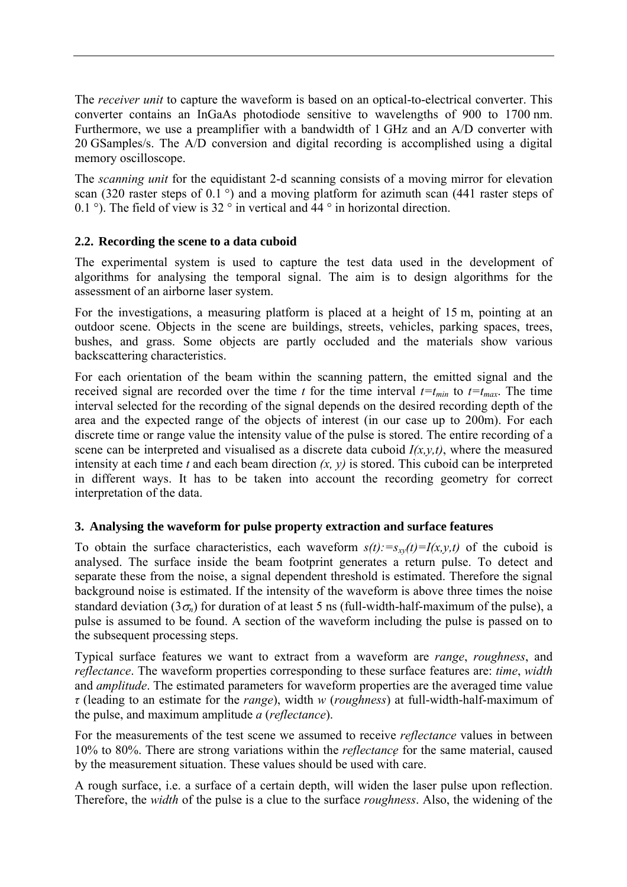The *receiver unit* to capture the waveform is based on an optical-to-electrical converter. This converter contains an InGaAs photodiode sensitive to wavelengths of 900 to 1700 nm. Furthermore, we use a preamplifier with a bandwidth of 1 GHz and an A/D converter with 20 GSamples/s. The A/D conversion and digital recording is accomplished using a digital memory oscilloscope.

The *scanning unit* for the equidistant 2-d scanning consists of a moving mirror for elevation scan (320 raster steps of 0.1 $\degree$ ) and a moving platform for azimuth scan (441 raster steps of 0.1 °). The field of view is 32 ° in vertical and 44 ° in horizontal direction.

# **2.2. Recording the scene to a data cuboid**

The experimental system is used to capture the test data used in the development of algorithms for analysing the temporal signal. The aim is to design algorithms for the assessment of an airborne laser system.

For the investigations, a measuring platform is placed at a height of 15 m, pointing at an outdoor scene. Objects in the scene are buildings, streets, vehicles, parking spaces, trees, bushes, and grass. Some objects are partly occluded and the materials show various backscattering characteristics.

For each orientation of the beam within the scanning pattern, the emitted signal and the received signal are recorded over the time *t* for the time interval  $t=t_{min}$  to  $t=t_{max}$ . The time interval selected for the recording of the signal depends on the desired recording depth of the area and the expected range of the objects of interest (in our case up to 200m). For each discrete time or range value the intensity value of the pulse is stored. The entire recording of a scene can be interpreted and visualised as a discrete data cuboid *I(x,y,t)*, where the measured intensity at each time *t* and each beam direction *(x, y)* is stored. This cuboid can be interpreted in different ways. It has to be taken into account the recording geometry for correct interpretation of the data.

# **3. Analysing the waveform for pulse property extraction and surface features**

To obtain the surface characteristics, each waveform  $s(t)$ :  $=s<sub>xy</sub>(t)=I(x,y,t)$  of the cuboid is analysed. The surface inside the beam footprint generates a return pulse. To detect and separate these from the noise, a signal dependent threshold is estimated. Therefore the signal background noise is estimated. If the intensity of the waveform is above three times the noise standard deviation ( $3\sigma_n$ ) for duration of at least 5 ns (full-width-half-maximum of the pulse), a pulse is assumed to be found. A section of the waveform including the pulse is passed on to the subsequent processing steps.

Typical surface features we want to extract from a waveform are *range*, *roughness*, and *reflectance*. The waveform properties corresponding to these surface features are: *time*, *width* and *amplitude*. The estimated parameters for waveform properties are the averaged time value *τ* (leading to an estimate for the *range*), width *w* (*roughness*) at full-width-half-maximum of the pulse, and maximum amplitude *a* (*reflectance*).

For the measurements of the test scene we assumed to receive *reflectance* values in between 10% to 80%. There are strong variations within the *reflectance* for the same material, caused by the measurement situation. These values should be used with care.

A rough surface, i.e. a surface of a certain depth, will widen the laser pulse upon reflection. Therefore, the *width* of the pulse is a clue to the surface *roughness*. Also, the widening of the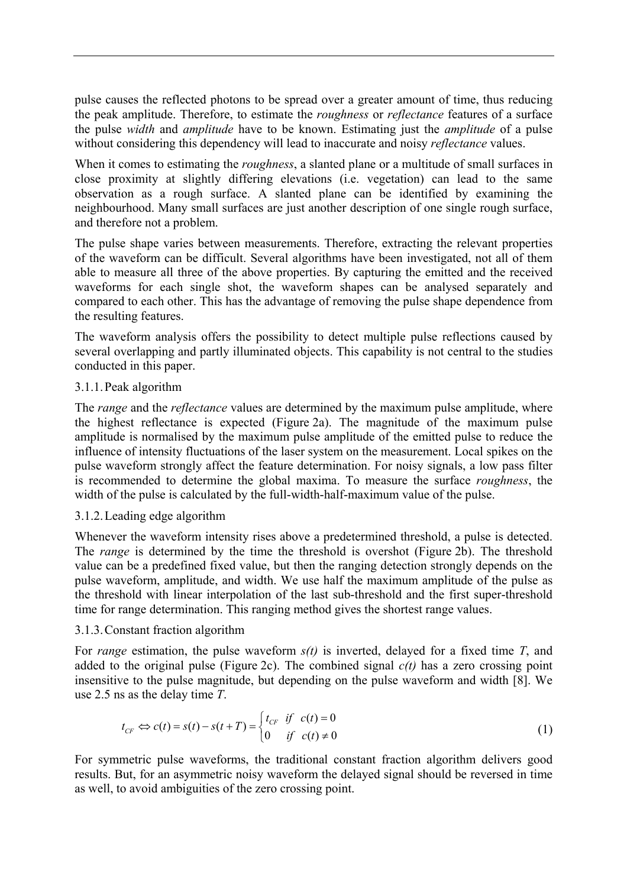pulse causes the reflected photons to be spread over a greater amount of time, thus reducing the peak amplitude. Therefore, to estimate the *roughness* or *reflectance* features of a surface the pulse *width* and *amplitude* have to be known. Estimating just the *amplitude* of a pulse without considering this dependency will lead to inaccurate and noisy *reflectance* values.

When it comes to estimating the *roughness*, a slanted plane or a multitude of small surfaces in close proximity at slightly differing elevations (i.e. vegetation) can lead to the same observation as a rough surface. A slanted plane can be identified by examining the neighbourhood. Many small surfaces are just another description of one single rough surface, and therefore not a problem.

The pulse shape varies between measurements. Therefore, extracting the relevant properties of the waveform can be difficult. Several algorithms have been investigated, not all of them able to measure all three of the above properties. By capturing the emitted and the received waveforms for each single shot, the waveform shapes can be analysed separately and compared to each other. This has the advantage of removing the pulse shape dependence from the resulting features.

The waveform analysis offers the possibility to detect multiple pulse reflections caused by several overlapping and partly illuminated objects. This capability is not central to the studies conducted in this paper.

### 3.1.1.Peak algorithm

The *range* and the *reflectance* values are determined by the maximum pulse amplitude, where the highest reflectance is expected (Figure 2a). The magnitude of the maximum pulse amplitude is normalised by the maximum pulse amplitude of the emitted pulse to reduce the influence of intensity fluctuations of the laser system on the measurement. Local spikes on the pulse waveform strongly affect the feature determination. For noisy signals, a low pass filter is recommended to determine the global maxima. To measure the surface *roughness*, the width of the pulse is calculated by the full-width-half-maximum value of the pulse.

#### 3.1.2.Leading edge algorithm

Whenever the waveform intensity rises above a predetermined threshold, a pulse is detected. The *range* is determined by the time the threshold is overshot (Figure 2b). The threshold value can be a predefined fixed value, but then the ranging detection strongly depends on the pulse waveform, amplitude, and width. We use half the maximum amplitude of the pulse as the threshold with linear interpolation of the last sub-threshold and the first super-threshold time for range determination. This ranging method gives the shortest range values.

#### 3.1.3.Constant fraction algorithm

For *range* estimation, the pulse waveform *s(t)* is inverted, delayed for a fixed time *T*, and added to the original pulse (Figure 2c). The combined signal  $c(t)$  has a zero crossing point insensitive to the pulse magnitude, but depending on the pulse waveform and width [8]. We use 2.5 ns as the delay time *T*.

$$
t_{CF} \Leftrightarrow c(t) = s(t) - s(t+T) = \begin{cases} t_{CF} & \text{if } c(t) = 0\\ 0 & \text{if } c(t) \neq 0 \end{cases}
$$
 (1)

For symmetric pulse waveforms, the traditional constant fraction algorithm delivers good results. But, for an asymmetric noisy waveform the delayed signal should be reversed in time as well, to avoid ambiguities of the zero crossing point.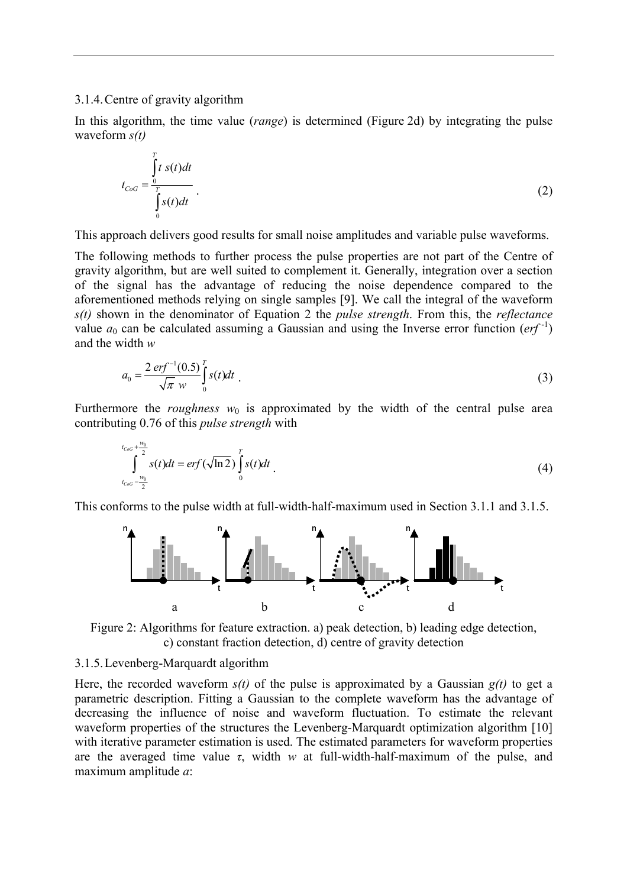#### 3.1.4.Centre of gravity algorithm

In this algorithm, the time value (*range*) is determined (Figure 2d) by integrating the pulse waveform *s(t)*

$$
t_{CoG} = \frac{\int_{0}^{T} t \, s(t)dt}{\int_{0}^{T} s(t)dt} \tag{2}
$$

This approach delivers good results for small noise amplitudes and variable pulse waveforms.

The following methods to further process the pulse properties are not part of the Centre of gravity algorithm, but are well suited to complement it. Generally, integration over a section of the signal has the advantage of reducing the noise dependence compared to the aforementioned methods relying on single samples [9]. We call the integral of the waveform *s(t)* shown in the denominator of Equation 2 the *pulse strength*. From this, the *reflectance* value  $a_0$  can be calculated assuming a Gaussian and using the Inverse error function ( $erf^{-1}$ ) and the width *w*

$$
a_0 = \frac{2 \, erf^{-1}(0.5)}{\sqrt{\pi} \, w} \int_0^r s(t) dt \tag{3}
$$

Furthermore the *roughness*  $w_0$  is approximated by the width of the central pulse area contributing 0.76 of this *pulse strength* with

$$
\int_{t_{CoG}+\frac{w_0}{2}}^{t_{CoG}+\frac{w_0}{2}} s(t)dt = erf(\sqrt{\ln 2}) \int_{0}^{T} s(t)dt
$$
\n(4)

This conforms to the pulse width at full-width-half-maximum used in Section 3.1.1 and 3.1.5.



Figure 2: Algorithms for feature extraction. a) peak detection, b) leading edge detection, c) constant fraction detection, d) centre of gravity detection

### 3.1.5.Levenberg-Marquardt algorithm

Here, the recorded waveform  $s(t)$  of the pulse is approximated by a Gaussian  $g(t)$  to get a parametric description. Fitting a Gaussian to the complete waveform has the advantage of decreasing the influence of noise and waveform fluctuation. To estimate the relevant waveform properties of the structures the Levenberg-Marquardt optimization algorithm [10] with iterative parameter estimation is used. The estimated parameters for waveform properties are the averaged time value *τ*, width *w* at full-width-half-maximum of the pulse, and maximum amplitude *a*: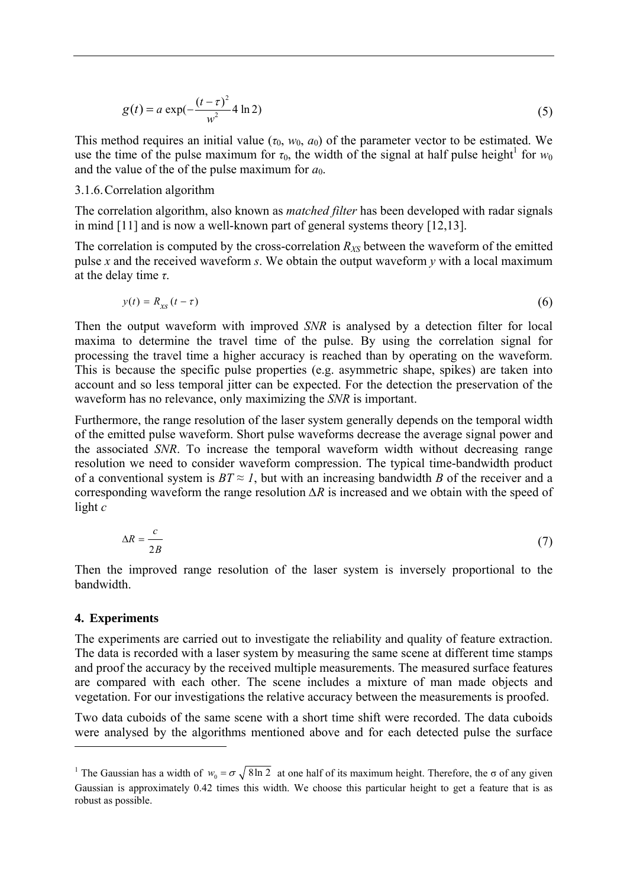$$
g(t) = a \exp(-\frac{(t-\tau)^2}{w^2} 4 \ln 2)
$$
 (5)

This method requires an initial value  $(\tau_0, w_0, a_0)$  of the parameter vector to be estimated. We use the time of the pulse maximum for  $\tau_0$ , the width of the signal at half pulse height<sup>[1](#page-5-0)</sup> for  $w_0$ and the value of the of the pulse maximum for  $a_0$ .

### 3.1.6.Correlation algorithm

The correlation algorithm, also known as *matched filter* has been developed with radar signals in mind [11] and is now a well-known part of general systems theory [12,13].

The correlation is computed by the cross-correlation  $R_{XS}$  between the waveform of the emitted pulse *x* and the received waveform *s*. We obtain the output waveform *y* with a local maximum at the delay time *τ*.

$$
y(t) = R_{\text{xs}}(t - \tau) \tag{6}
$$

Then the output waveform with improved *SNR* is analysed by a detection filter for local maxima to determine the travel time of the pulse. By using the correlation signal for processing the travel time a higher accuracy is reached than by operating on the waveform. This is because the specific pulse properties (e.g. asymmetric shape, spikes) are taken into account and so less temporal jitter can be expected. For the detection the preservation of the waveform has no relevance, only maximizing the *SNR* is important.

Furthermore, the range resolution of the laser system generally depends on the temporal width of the emitted pulse waveform. Short pulse waveforms decrease the average signal power and the associated *SNR*. To increase the temporal waveform width without decreasing range resolution we need to consider waveform compression. The typical time-bandwidth product of a conventional system is  $BT \approx 1$ , but with an increasing bandwidth *B* of the receiver and a corresponding waveform the range resolution *∆R* is increased and we obtain with the speed of light *c*

$$
\Delta R = \frac{c}{2B} \tag{7}
$$

Then the improved range resolution of the laser system is inversely proportional to the bandwidth.

#### **4. Experiments**

The experiments are carried out to investigate the reliability and quality of feature extraction. The data is recorded with a laser system by measuring the same scene at different time stamps and proof the accuracy by the received multiple measurements. The measured surface features are compared with each other. The scene includes a mixture of man made objects and vegetation. For our investigations the relative accuracy between the measurements is proofed.

Two data cuboids of the same scene with a short time shift were recorded. The data cuboids were analysed by the algorithms mentioned above and for each detected pulse the surface

<span id="page-5-0"></span><sup>&</sup>lt;sup>1</sup> The Gaussian has a width of  $w_0 = \sigma \sqrt{8\ln 2}$  at one half of its maximum height. Therefore, the  $\sigma$  of any given Gaussian is approximately 0.42 times this width. We choose this particular height to get a feature that is as robust as possible.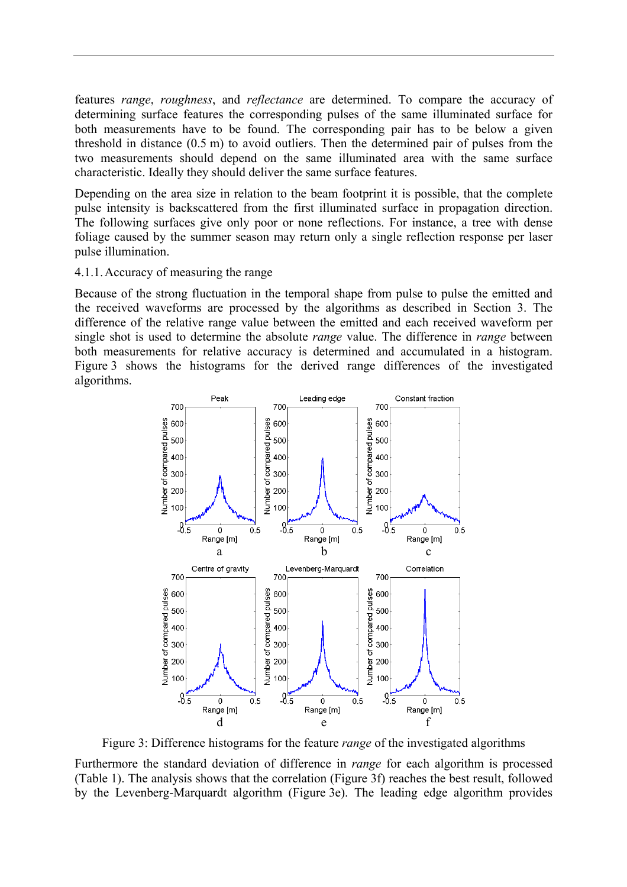features *range*, *roughness*, and *reflectance* are determined. To compare the accuracy of determining surface features the corresponding pulses of the same illuminated surface for both measurements have to be found. The corresponding pair has to be below a given threshold in distance (0.5 m) to avoid outliers. Then the determined pair of pulses from the two measurements should depend on the same illuminated area with the same surface characteristic. Ideally they should deliver the same surface features.

Depending on the area size in relation to the beam footprint it is possible, that the complete pulse intensity is backscattered from the first illuminated surface in propagation direction. The following surfaces give only poor or none reflections. For instance, a tree with dense foliage caused by the summer season may return only a single reflection response per laser pulse illumination.

#### 4.1.1.Accuracy of measuring the range

Because of the strong fluctuation in the temporal shape from pulse to pulse the emitted and the received waveforms are processed by the algorithms as described in Section 3. The difference of the relative range value between the emitted and each received waveform per single shot is used to determine the absolute *range* value. The difference in *range* between both measurements for relative accuracy is determined and accumulated in a histogram. Figure 3 shows the histograms for the derived range differences of the investigated algorithms.



Figure 3: Difference histograms for the feature *range* of the investigated algorithms

Furthermore the standard deviation of difference in *range* for each algorithm is processed (Table 1). The analysis shows that the correlation (Figure 3f) reaches the best result, followed by the Levenberg-Marquardt algorithm (Figure 3e). The leading edge algorithm provides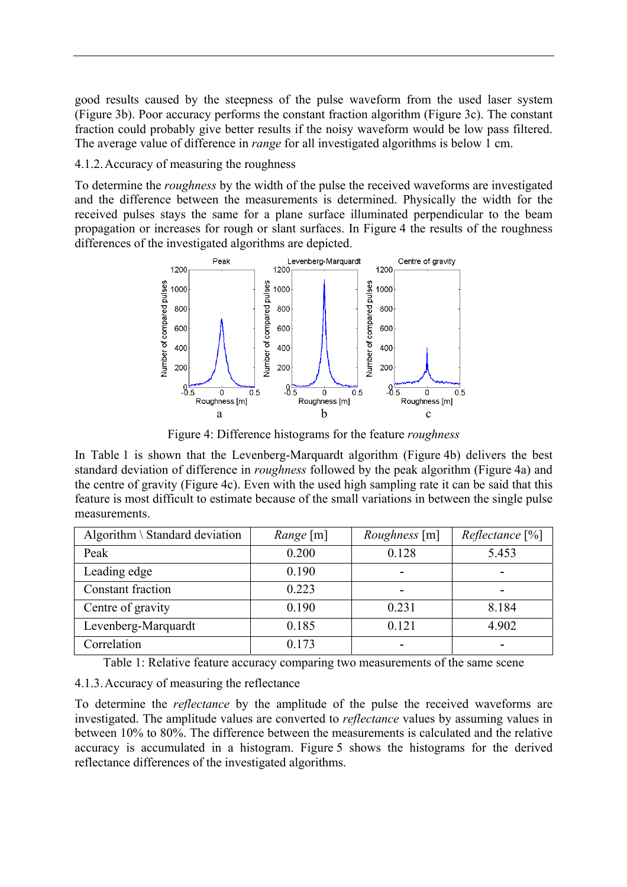good results caused by the steepness of the pulse waveform from the used laser system (Figure 3b). Poor accuracy performs the constant fraction algorithm (Figure 3c). The constant fraction could probably give better results if the noisy waveform would be low pass filtered. The average value of difference in *range* for all investigated algorithms is below 1 cm.

4.1.2.Accuracy of measuring the roughness

To determine the *roughness* by the width of the pulse the received waveforms are investigated and the difference between the measurements is determined. Physically the width for the received pulses stays the same for a plane surface illuminated perpendicular to the beam propagation or increases for rough or slant surfaces. In Figure 4 the results of the roughness differences of the investigated algorithms are depicted.



Figure 4: Difference histograms for the feature *roughness*

In Table 1 is shown that the Levenberg-Marquardt algorithm (Figure 4b) delivers the best standard deviation of difference in *roughness* followed by the peak algorithm (Figure 4a) and the centre of gravity (Figure 4c). Even with the used high sampling rate it can be said that this feature is most difficult to estimate because of the small variations in between the single pulse measurements.

| Algorithm $\setminus$ Standard deviation | <i>Range</i> [m] | <i>Roughness</i> [m] | $Reflectance$ [%] |
|------------------------------------------|------------------|----------------------|-------------------|
| Peak                                     | 0.200            | 0.128                | 5.453             |
| Leading edge                             | 0.190            |                      |                   |
| Constant fraction                        | 0.223            |                      | $\blacksquare$    |
| Centre of gravity                        | 0.190            | 0.231                | 8.184             |
| Levenberg-Marquardt                      | 0.185            | 0.121                | 4.902             |
| Correlation                              | 0.173            |                      |                   |

Table 1: Relative feature accuracy comparing two measurements of the same scene

# 4.1.3.Accuracy of measuring the reflectance

To determine the *reflectance* by the amplitude of the pulse the received waveforms are investigated. The amplitude values are converted to *reflectance* values by assuming values in between 10% to 80%. The difference between the measurements is calculated and the relative accuracy is accumulated in a histogram. Figure 5 shows the histograms for the derived reflectance differences of the investigated algorithms.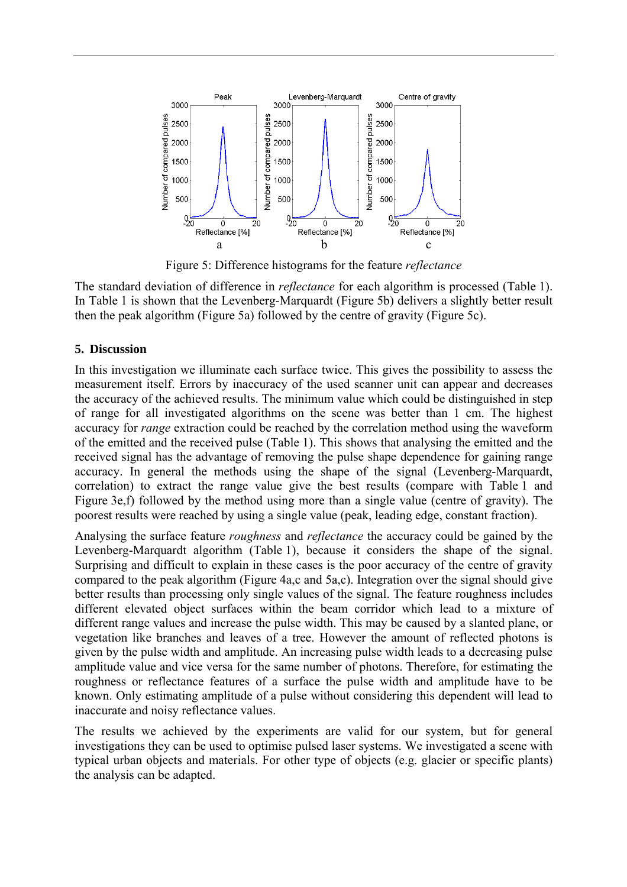

Figure 5: Difference histograms for the feature *reflectance*

The standard deviation of difference in *reflectance* for each algorithm is processed (Table 1). In Table 1 is shown that the Levenberg-Marquardt (Figure 5b) delivers a slightly better result then the peak algorithm (Figure 5a) followed by the centre of gravity (Figure 5c).

# **5. Discussion**

In this investigation we illuminate each surface twice. This gives the possibility to assess the measurement itself. Errors by inaccuracy of the used scanner unit can appear and decreases the accuracy of the achieved results. The minimum value which could be distinguished in step of range for all investigated algorithms on the scene was better than 1 cm. The highest accuracy for *range* extraction could be reached by the correlation method using the waveform of the emitted and the received pulse (Table 1). This shows that analysing the emitted and the received signal has the advantage of removing the pulse shape dependence for gaining range accuracy. In general the methods using the shape of the signal (Levenberg-Marquardt, correlation) to extract the range value give the best results (compare with Table 1 and Figure 3e,f) followed by the method using more than a single value (centre of gravity). The poorest results were reached by using a single value (peak, leading edge, constant fraction).

Analysing the surface feature *roughness* and *reflectance* the accuracy could be gained by the Levenberg-Marquardt algorithm (Table 1), because it considers the shape of the signal. Surprising and difficult to explain in these cases is the poor accuracy of the centre of gravity compared to the peak algorithm (Figure 4a,c and 5a,c). Integration over the signal should give better results than processing only single values of the signal. The feature roughness includes different elevated object surfaces within the beam corridor which lead to a mixture of different range values and increase the pulse width. This may be caused by a slanted plane, or vegetation like branches and leaves of a tree. However the amount of reflected photons is given by the pulse width and amplitude. An increasing pulse width leads to a decreasing pulse amplitude value and vice versa for the same number of photons. Therefore, for estimating the roughness or reflectance features of a surface the pulse width and amplitude have to be known. Only estimating amplitude of a pulse without considering this dependent will lead to inaccurate and noisy reflectance values.

The results we achieved by the experiments are valid for our system, but for general investigations they can be used to optimise pulsed laser systems. We investigated a scene with typical urban objects and materials. For other type of objects (e.g. glacier or specific plants) the analysis can be adapted.